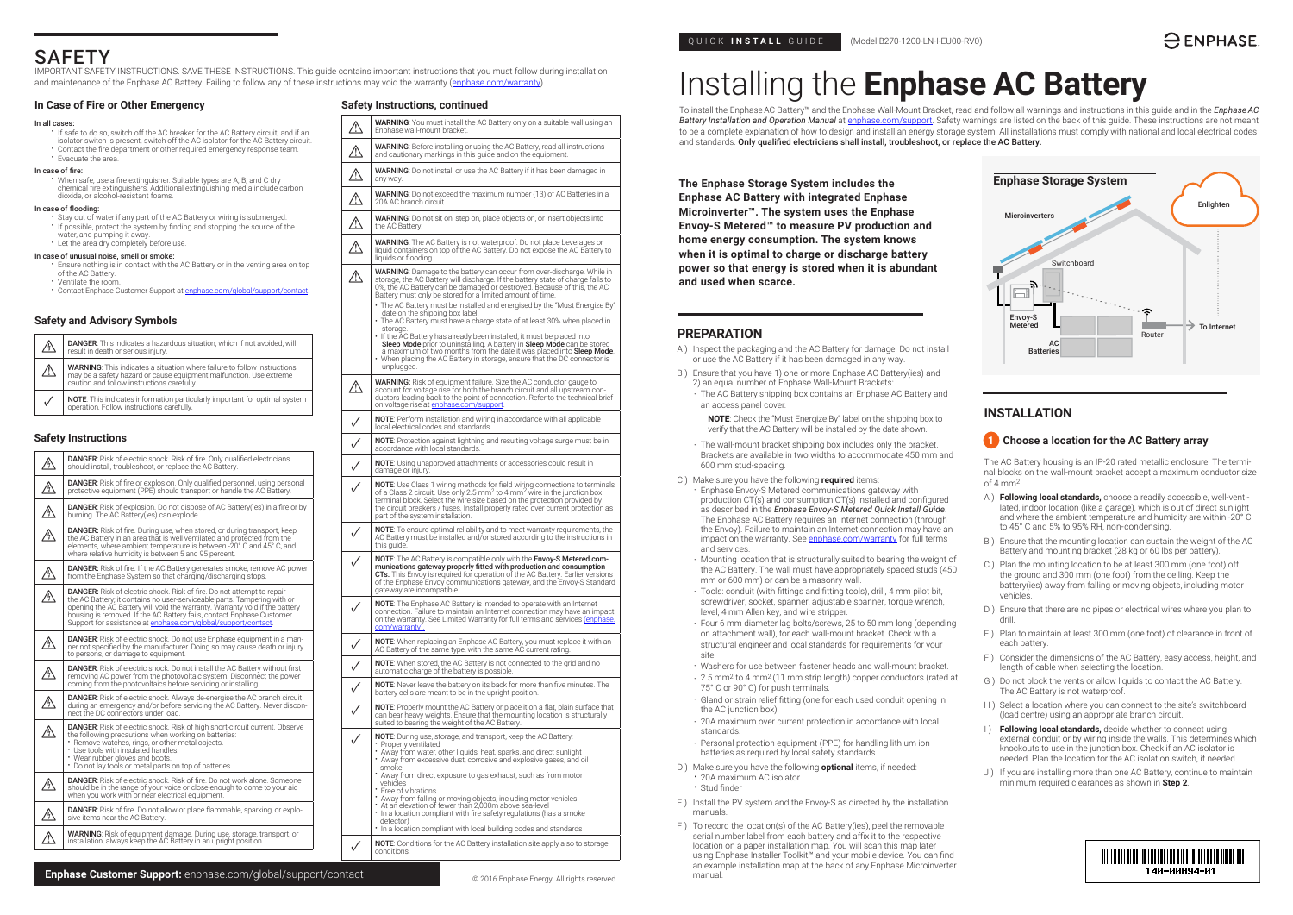## QUICK **INSTALL** GUIDE (Model B270-1200-LN-I-EU00-RV0)

# Installing the **Enphase AC Battery**

To install the EnphaseAC Battery™ and the Enphase Wall-Mount Bracket, read and follow all warnings and instructions in this guide and in the *Enphase AC Battery Installation and Operation Manual* at [enphase.com/support](http://enphase.com/support). Safety warnings are listed on the back of this guide. These instructions are not meant to be a complete explanation of how to design and install an energy storage system. All installations must comply with national and local electrical codes and standards. Only qualified electricians shall install, troubleshoot, or replace the AC Battery.

| Л            | <b>DANGER:</b> This indicates a hazardous situation, which if not avoided, will<br>result in death or serious injury.                                                                               |
|--------------|-----------------------------------------------------------------------------------------------------------------------------------------------------------------------------------------------------|
| $\mathbb{A}$ | <b>WARNING:</b> This indicates a situation where failure to follow instructions<br>may be a safety hazard or cause equipment malfunction. Use extreme<br>caution and follow instructions carefully. |
|              | NOTE: This indicates information particularly important for optimal system operation. Follow instructions carefully.                                                                                |
|              |                                                                                                                                                                                                     |

**The Enphase Storage System includes the Enphase AC Battery with integrated Enphase Microinverter™. The system uses the Enphase Envoy-S Metered™ to measure PV production and home energy consumption. The system knows when it is optimal to charge or discharge battery power so that energy is stored when it is abundant and used when scarce.**

#### **Safety and Advisory Symbols**

### **Safety Instructions**

|           | <b>DANGER</b> : Risk of electric shock. Risk of fire. Only qualified electricians<br>should install, troubleshoot, or replace the AC Battery.                                                                                                                                                                                                                                      |  |
|-----------|------------------------------------------------------------------------------------------------------------------------------------------------------------------------------------------------------------------------------------------------------------------------------------------------------------------------------------------------------------------------------------|--|
| <u>/\</u> | <b>DANGER:</b> Risk of fire or explosion. Only qualified personnel, using personal<br>protective equipment (PPE) should transport or handle the AC Battery.                                                                                                                                                                                                                        |  |
| ⚠         | <b>DANGER:</b> Risk of explosion. Do not dispose of AC Battery(ies) in a fire or by<br>burning. The AC Battery (ies) can explode.                                                                                                                                                                                                                                                  |  |
| Ą\        | <b>DANGER:</b> Risk of fire. During use, when stored, or during transport, keep<br>the AC Battery in an area that is well ventilated and protected from the<br>elements, where ambient temperature is between -20° C and 45° C, and<br>where relative humidity is between 5 and 95 percent.                                                                                        |  |
| /\        | <b>DANGER:</b> Risk of fire. If the AC Battery generates smoke, remove AC power<br>from the Enphase System so that charging/discharging stops.                                                                                                                                                                                                                                     |  |
| Ą         | <b>DANGER:</b> Risk of electric shock. Risk of fire. Do not attempt to repair<br>the AC Battery; it contains no user-serviceable parts. Tampering with or<br>opening the AC Battery will void the warranty. Warranty void if the battery<br>housing is removed. If the AC Battery fails, contact Enphase Customer<br>Support for assistance at enphase.com/global/support/contact. |  |
|           | <b>DANGER:</b> Risk of electric shock. Do not use Enphase equipment in a man-<br>ner not specified by the manufacturer. Doing so may cause death or injury<br>to persons, or damage to equipment.                                                                                                                                                                                  |  |
| /\<br>__  | <b>DANGER:</b> Risk of electric shock. Do not install the AC Battery without first<br>removing AC power from the photovoltaic system. Disconnect the power<br>coming from the photovoltaics before servicing or installing.                                                                                                                                                        |  |
|           | <b>DANGER:</b> Risk of electric shock. Always de-energise the AC branch circuit<br>during an emergency and/or before servicing the AC Battery. Never discon-<br>nect the DC connectors under load.                                                                                                                                                                                 |  |
| Ą,        | <b>DANGER:</b> Risk of electric shock. Risk of high short-circuit current. Observe<br>the following precautions when working on batteries:<br>• Remove watches, rings, or other metal objects.<br>* Use tools with insulated handles.<br>* Wear rubber gloves and boots.<br>* Do not lay tools or metal parts on top of batteries.                                                 |  |
|           | <b>DANGER:</b> Risk of electric shock. Risk of fire. Do not work alone. Someone<br>should be in the range of your voice or close enough to come to your aid<br>when you work with or near electrical equipment.                                                                                                                                                                    |  |
| /\}       | <b>DANGER:</b> Risk of fire. Do not allow or place flammable, sparking, or explo-<br>sive items near the AC Battery.                                                                                                                                                                                                                                                               |  |
|           | WARNING: Risk of equipment damage. During use, storage, transport, or<br>installation, always keep the AC Battery in an upright position.                                                                                                                                                                                                                                          |  |
|           |                                                                                                                                                                                                                                                                                                                                                                                    |  |

- **A WARNING:** You must install the AC Battery only on a suitable wall using an Enphase wall-mount bracket. Enphase wall-mount bracket.
- **AN** WARNING: Before installing or using the AC Battery, read all instructions and cautionary markings in this guide and on the equipment.
- **1 WARNING**: Do not install or use the AC Battery if it has been damaged in any way.
- **1 WARNING**: Do not exceed the maximum number (13) of AC Batteries in a 20A AC branch circuit. 20A AC branch circuit.
- **1 WARNING**: Do not sit on, step on, place objects on, or insert objects into the AC Battery. the AC Battery.
- **MARNING**: The AC Battery is not waterproof. Do not place beverages or liquid containers on top of the AC Battery. Do not expose the AC Battery to liquids or flooding.
- WARNING: Damage to the battery can occur from over-discharge. While in<br>storage, the AC Battery will discharge. If the battery state of charge falls to<br>0%, the AC Battery can be damaged or destroyed. Because of this, the AC Battery must only be stored for a limited amount of time.
- The AC Battery must be installed and energised by the "Must Energize By" date on the shipping box label. • The AC Battery must have a charge state of at least 30% when placed in
- storage. If the AC Battery has already been installed, it must be placed into **Sleep Mode** prior to uninstalling. A battery in **Sleep Mode** can be stored<br>a maximum of two months from the date it was placed into **Sleep Mode**. • When placing the AC Battery in storage, ensure that the DC connector is
- WARNING: Risk of equipment failure. Size the AC conductor gauge to<br>account for voltage rise for both the branch circuit and all upstream con-<br>ductors leading back to the point of connection. Refer to the technical brief on voltage rise at enpha
- **✓** NOTE: Perform installation and wiring in accordance with all applicable ocal electrical codes and standards
- **✓** NOTE: Protection against lightning and resulting voltage surge must be in accordance with local standards.
- **✓** NOTE: Using unapproved attachments or accessories could result in lamage or injury.
- **◯ NOTE:** Use Class 1 wiring methods for field wiring connections to terminals of a Class 2 circuit. Use only 2.5 mm<sup>2</sup> to 4 mm<sup>2</sup> wire in the junction box<br>terminal block. Select the wire size based on the protection provided by the circuit breakers / fuses. Install properly rated over current protection as part of the system installation.
- **✓** NOTE: To ensure optimal reliability and to meet warranty requirements, the AC Battery must be installed and/or stored according to the instructions in this quide.
- V<br>
NOTE: The AC Battery is compatible only with the **Envoy-S Metered communications gateway properly fitted with production and consumption<br>
CTs. This Envoy is required for operation of the AC Battery. Earlier versions<br>
of** gateway are incompatible.
- V NOTE: The Enphase AC Battery is intended to operate with an Internet<br>connection. Failure to maintain an Internet connection may have an impact<br>on the warranty. See Limited Warranty for full terms and services ([enphase.](http://enphase.com/warranty) [com/warranty](http://enphase.com/warranty)). **✓** NOTE: When replacing an Enphase AC Battery, you must replace it with an AC Battery of the same type, with the same AC current rating.
- **✓** NOTE: When stored, the AC Battery is not connected to the grid and no automatic charge of the battery is possible.
- **✓** NOTE: Never leave the battery on its back for more than five minutes. The battery cells are meant to be in the upright position.
- **✓** NOTE: Properly mount the AC Battery or place it on a flat, plain surface that can bear heavy weights. Ensure that the mounting location is structurally suited to bearing the weight of the AC Battery.
- **✓** NOTE: During use, storage, and transport, keep the AC Battery: Properly ventilated • Away from water, other liquids, heat, sparks, and direct sunlight • Away from excessive dust, corrosive and explosive gases, and oil smoke • Away from direct exposure to gas exhaust, such as from motor vehicles • Free of vibrations • Away from falling or moving objects, including motor vehicles • At an elevation of fewer than 2,000m above sea-level In a location compliant with fire safety regulations (has a smoke detector) • In a location compliant with local building codes and standards
- **NOTE:** Conditions for the AC Battery installation site apply also to storage conditions.
- If safe to do so, switch off the AC breaker for the AC Battery circuit, and if an isolator switch is present, switch off the AC isolator for the AC Battery circuit.
- Contact the fire department or other required emergency response team. • Evacuate the area.

- Stay out of water if any part of the AC Battery or wiring is submerged. • If possible, protect the system by finding and stopping the source of the
- water, and pumping it away
- Let the area dry completely before use.

The AC Battery housing is an IP-20 rated metallic enclosure. The terminal blocks on the wall-mount bracket accept a maximum conductor size of  $4 \text{ mm}^2$ 

unplugged.

# SAFETY

IMPORTANT SAFETY INSTRUCTIONS. SAVE THESE INSTRUCTIONS. This guide contains important instructions that you must follow during installation and maintenance of the Enphase AC Battery. Failing to follow any of these instructions may void the warranty [\(enphase.com/warranty\)](https://enphase.com/warranty).

#### **In Case of Fire or Other Emergency**

#### In all cases:

#### In case of fire:

• When safe, use a fire extinguisher. Suitable types are A, B, and C dry chemical fire extinguishers. Additional extinguishing media include carbon dioxide, or alcohol-resistant foams.

#### In case of flooding:

#### In case of unusual noise, smell or smoke:

- Ensure nothing is in contact with the AC Battery or in the venting area on top of the AC Battery
- Ventilate the room.
- Contact Enphase Customer Support at [enphase.com/global/support/contact.](http://enphase.com/global/support/contact)

### **Safety Instructions, continued**



# **INSTALLATION**

## **1** Choose a location for the AC Battery array

- A ) **Following local standards,** choose a readily accessible, well-ventilated, indoor location (like a garage), which is out of direct sunlight and where the ambient temperature and humidity are within -20° C to 45° C and 5% to 95% RH, non-condensing.
- B ) Ensure that the mounting location can sustain the weight of the AC Battery and mounting bracket (28 kg or 60 lbs per battery).
- C ) Plan the mounting location to be at least 300 mm (one foot) off the ground and 300 mm (one foot) from the ceiling. Keep the battery(ies) away from falling or moving objects, including motor vehicles.
- D ) Ensure that there are no pipes or electrical wires where you plan to drill.
- E ) Plan to maintain at least 300 mm (one foot) of clearance in front of each battery.
- F ) Consider the dimensions of the AC Battery, easy access, height, and length of cable when selecting the location.
- G ) Do not block the vents or allow liquids to contact the AC Battery. The AC Battery is not waterproof.
- H ) Select a location where you can connect to the site's switchboard (load centre) using an appropriate branch circuit.
- I ) **Following local standards,** decide whether to connect using external conduit or by wiring inside the walls. This determines which knockouts to use in the junction box. Check if an AC isolator is needed. Plan the location for the AC isolation switch, if needed.
- J) If you are installing more than one AC Battery, continue to maintain minimum required clearances as shown in **Step 2**.

## 148-88894-81

## **PREPARATION**

- A ) Inspect the packaging and the AC Battery for damage. Do not install or use the AC Battery if it has been damaged in any way.
- B ) Ensure that you have 1) one or more Enphase AC Battery(ies) and 2) an equal number of Enphase Wall-Mount Brackets:
	- The AC Battery shipping box contains an Enphase AC Battery and an access panel cover.
		- **NOTE**: Check the "Must Energize By" label on the shipping box to verify that the AC Battery will be installed by the date shown.
	- The wall-mount bracket shipping box includes only the bracket. Brackets are available in two widths to accommodate 450 mm and 600 mm stud-spacing.
- C ) Make sure you have the following **required** items:
	- Enphase Envoy-S Metered communications gateway with production CT(s) and consumption CT(s) installed and configured as described in the *Enphase Envoy-S Metered Quick Install Guide*. The Enphase AC Battery requires an Internet connection (through the Envoy). Failure to maintain an Internet connection may have an impact on the warranty. See enphase.com/warranty for full terms and services.
	- Mounting location that is structurally suited to bearing the weight of the AC Battery. The wall must have appropriately spaced studs (450 mm or 600 mm) or can be a masonry wall.
	- Tools: conduit (with fittings and fitting tools), drill, 4 mm pilot bit, screwdriver, socket, spanner, adjustable spanner, torque wrench, level, 4 mm Allen key, and wire stripper.
	- Four 6 mm diameter lag bolts/screws, 25 to 50 mm long (depending on attachment wall), for each wall-mount bracket. Check with a structural engineer and local standards for requirements for your site.
	- Washers for use between fastener heads and wall-mount bracket.
	- 2.5 mm2 to 4 mm2 (11 mm strip length) copper conductors (rated at 75° C or 90° C) for push terminals.
	- Gland or strain relief fitting (one for each used conduit opening in the AC junction box).
	- 20A maximum over current protection in accordance with local standards.
	- Personal protection equipment (PPE) for handling lithium ion batteries as required by local safety standards.
- D ) Make sure you have the following **optional** items, if needed:
	- 20A maximum AC isolator
- Stud finder
- E ) Install the PV system and the Envoy-S as directed by the installation manuals.
- F ) To record the location(s) of the AC Battery(ies), peel the removable serial number label from each battery and affix it to the respective location on a paper installation map. You will scan this map later using Enphase Installer Toolkit™ and your mobile device. You can find an example installation map at the back of any Enphase Microinverter manual.